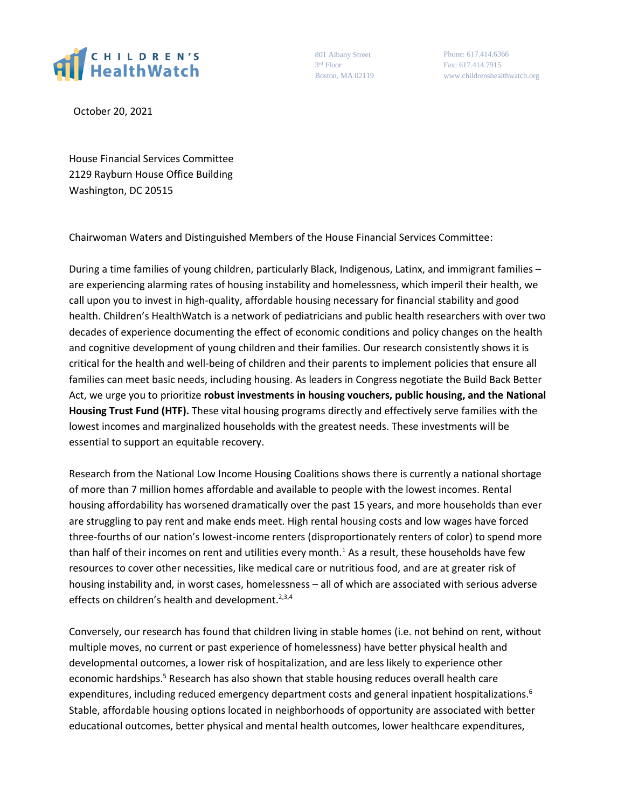

801 Albany Street 3 rd Floor Boston, MA 02119

Phone: 617.414.6366 Fax: 617.414.7915 www.childrenshealthwatch.org

October 20, 2021

House Financial Services Committee 2129 Rayburn House Office Building Washington, DC 20515

Chairwoman Waters and Distinguished Members of the House Financial Services Committee:

During a time families of young children, particularly Black, Indigenous, Latinx, and immigrant families – are experiencing alarming rates of housing instability and homelessness, which imperil their health, we call upon you to invest in high-quality, affordable housing necessary for financial stability and good health. Children's HealthWatch is a network of pediatricians and public health researchers with over two decades of experience documenting the effect of economic conditions and policy changes on the health and cognitive development of young children and their families. Our research consistently shows it is critical for the health and well-being of children and their parents to implement policies that ensure all families can meet basic needs, including housing. As leaders in Congress negotiate the Build Back Better Act, we urge you to prioritize **robust investments in housing vouchers, public housing, and the National Housing Trust Fund (HTF).** These vital housing programs directly and effectively serve families with the lowest incomes and marginalized households with the greatest needs. These investments will be essential to support an equitable recovery.

Research from the National Low Income Housing Coalitions shows there is currently a national shortage of more than 7 million homes affordable and available to people with the lowest incomes. Rental housing affordability has worsened dramatically over the past 15 years, and more households than ever are struggling to pay rent and make ends meet. High rental housing costs and low wages have forced three-fourths of our nation's lowest-income renters (disproportionately renters of color) to spend more than half of their incomes on rent and utilities every month.<sup>1</sup> As a result, these households have few resources to cover other necessities, like medical care or nutritious food, and are at greater risk of housing instability and, in worst cases, homelessness – all of which are associated with serious adverse effects on children's health and development. $2,3,4$ 

Conversely, our research has found that children living in stable homes (i.e. not behind on rent, without multiple moves, no current or past experience of homelessness) have better physical health and developmental outcomes, a lower risk of hospitalization, and are less likely to experience other economic hardships.<sup>5</sup> Research has also shown that stable housing reduces overall health care expenditures, including reduced emergency department costs and general inpatient hospitalizations.<sup>6</sup> Stable, affordable housing options located in neighborhoods of opportunity are associated with better educational outcomes, better physical and mental health outcomes, lower healthcare expenditures,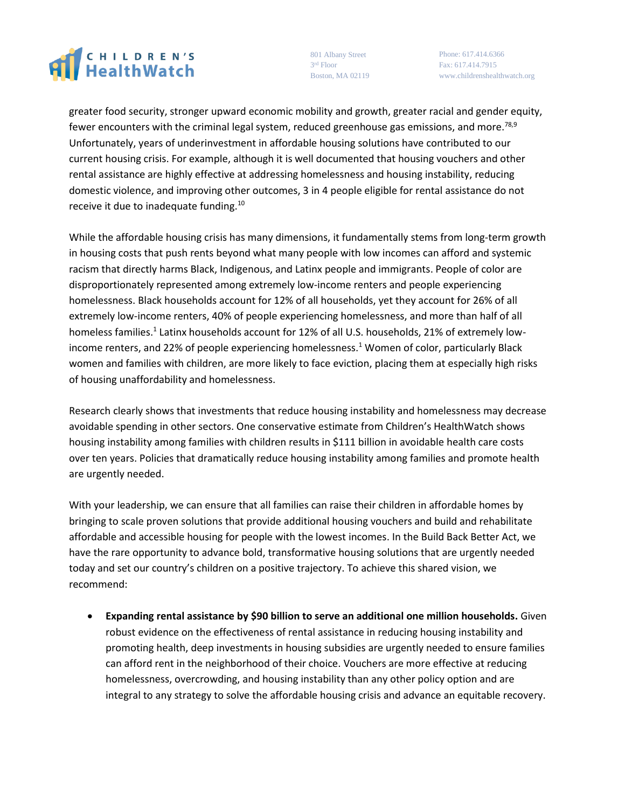## CHILDREN'S

801 Albany Street 3 rd Floor Boston, MA 02119

Phone: 617.414.6366 Fax: 617.414.7915 www.childrenshealthwatch.org

greater food security, stronger upward economic mobility and growth, greater racial and gender equity, fewer encounters with the criminal legal system, reduced greenhouse gas emissions, and more.<sup>78,9</sup> Unfortunately, years of underinvestment in affordable housing solutions have contributed to our current housing crisis. For example, although it is well documented that housing vouchers and other rental assistance are highly effective at addressing homelessness and housing instability, reducing domestic violence, and improving other outcomes, 3 in 4 people eligible for rental assistance do not receive it due to inadequate funding.<sup>10</sup>

While the affordable housing crisis has many dimensions, it fundamentally stems from long-term growth in housing costs that push rents beyond what many people with low incomes can afford and systemic racism that directly harms Black, Indigenous, and Latinx people and immigrants. People of color are disproportionately represented among extremely low-income renters and people experiencing homelessness. Black households account for 12% of all households, yet they account for 26% of all extremely low-income renters, 40% of people experiencing homelessness, and more than half of all homeless families.<sup>1</sup> Latinx households account for 12% of all U.S. households, 21% of extremely lowincome renters, and 22% of people experiencing homelessness.<sup>1</sup> Women of color, particularly Black women and families with children, are more likely to face eviction, placing them at especially high risks of housing unaffordability and homelessness.

Research clearly shows that investments that reduce housing instability and homelessness may decrease avoidable spending in other sectors. One conservative estimate from Children's HealthWatch shows housing instability among families with children results in \$111 billion in avoidable health care costs over ten years. Policies that dramatically reduce housing instability among families and promote health are urgently needed.

With your leadership, we can ensure that all families can raise their children in affordable homes by bringing to scale proven solutions that provide additional housing vouchers and build and rehabilitate affordable and accessible housing for people with the lowest incomes. In the Build Back Better Act, we have the rare opportunity to advance bold, transformative housing solutions that are urgently needed today and set our country's children on a positive trajectory. To achieve this shared vision, we recommend:

 **Expanding rental assistance by \$90 billion to serve an additional one million households.** Given robust evidence on the effectiveness of rental assistance in reducing housing instability and promoting health, deep investments in housing subsidies are urgently needed to ensure families can afford rent in the neighborhood of their choice. Vouchers are more effective at reducing homelessness, overcrowding, and housing instability than any other policy option and are integral to any strategy to solve the affordable housing crisis and advance an equitable recovery.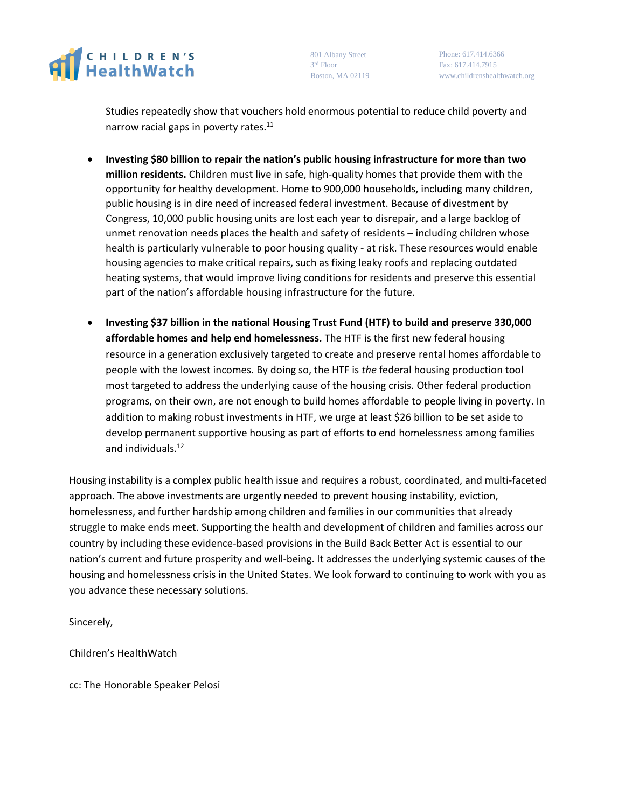

801 Albany Street 3 rd Floor Boston, MA 02119

Phone: 617.414.6366 Fax: 617.414.7915 www.childrenshealthwatch.org

Studies repeatedly show that vouchers hold enormous potential to reduce child poverty and narrow racial gaps in poverty rates. $11$ 

- **Investing \$80 billion to repair the nation's public housing infrastructure for more than two million residents.** Children must live in safe, high-quality homes that provide them with the opportunity for healthy development. Home to 900,000 households, including many children, public housing is in dire need of increased federal investment. Because of divestment by Congress, 10,000 public housing units are lost each year to disrepair, and a large backlog of unmet renovation needs places the health and safety of residents – including children whose health is particularly vulnerable to poor housing quality - at risk. These resources would enable housing agencies to make critical repairs, such as fixing leaky roofs and replacing outdated heating systems, that would improve living conditions for residents and preserve this essential part of the nation's affordable housing infrastructure for the future.
- **Investing \$37 billion in the national Housing Trust Fund (HTF) to build and preserve 330,000 affordable homes and help end homelessness.** The HTF is the first new federal housing resource in a generation exclusively targeted to create and preserve rental homes affordable to people with the lowest incomes. By doing so, the HTF is *the* federal housing production tool most targeted to address the underlying cause of the housing crisis. Other federal production programs, on their own, are not enough to build homes affordable to people living in poverty. In addition to making robust investments in HTF, we urge at least \$26 billion to be set aside to develop permanent supportive housing as part of efforts to end homelessness among families and individuals. 12

Housing instability is a complex public health issue and requires a robust, coordinated, and multi-faceted approach. The above investments are urgently needed to prevent housing instability, eviction, homelessness, and further hardship among children and families in our communities that already struggle to make ends meet. Supporting the health and development of children and families across our country by including these evidence-based provisions in the Build Back Better Act is essential to our nation's current and future prosperity and well-being. It addresses the underlying systemic causes of the housing and homelessness crisis in the United States. We look forward to continuing to work with you as you advance these necessary solutions.

Sincerely,

Children's HealthWatch

cc: The Honorable Speaker Pelosi